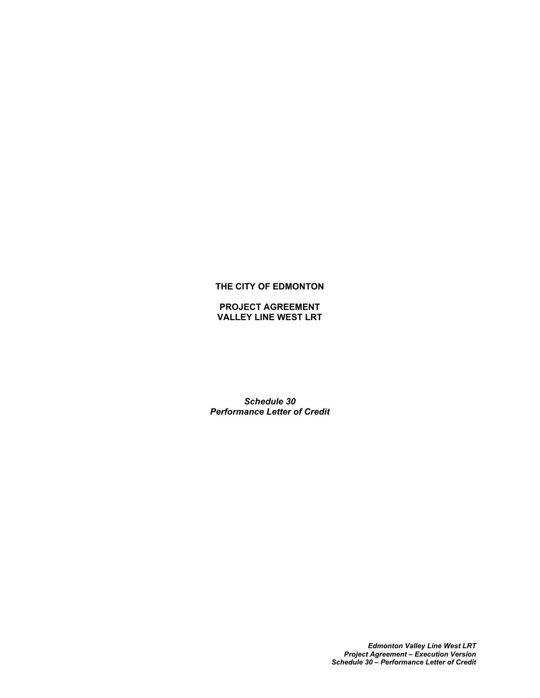# **THE CITY OF EDMONTON**

## **PROJECT AGREEMENT VALLEY LINE WEST LRT**

*Schedule 30 Performance Letter of Credit*

> *Edmonton Valley Line West LRT Project Agreement – Execution Version Schedule 30 – Performance Letter of Credit*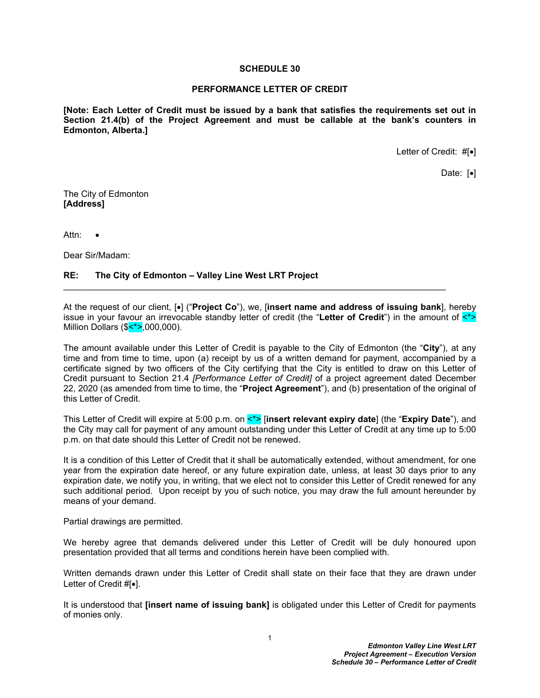#### **SCHEDULE 30**

#### **PERFORMANCE LETTER OF CREDIT**

**[Note: Each Letter of Credit must be issued by a bank that satisfies the requirements set out in Section 21.4(b) of the Project Agreement and must be callable at the bank's counters in Edmonton, Alberta.]**

Letter of Credit:  $\#[•]$ 

Date:  $\lceil \bullet \rceil$ 

The City of Edmonton **[Address]**

Attn:

Dear Sir/Madam:

## **RE: The City of Edmonton – Valley Line West LRT Project**

At the request of our client,  $\left[ \bullet \right]$  ("**Project Co**"), we, **[insert name and address of issuing bank**], hereby issue in your favour an irrevocable standby letter of credit (the "**Letter of Credit**") in the amount of <\*> Million Dollars (\$<\*>,000,000).

The amount available under this Letter of Credit is payable to the City of Edmonton (the "**City**"), at any time and from time to time, upon (a) receipt by us of a written demand for payment, accompanied by a certificate signed by two officers of the City certifying that the City is entitled to draw on this Letter of Credit pursuant to Section 21.4 *[Performance Letter of Credit]* of a project agreement dated December 22, 2020 (as amended from time to time, the "**Project Agreement**"), and (b) presentation of the original of this Letter of Credit.

This Letter of Credit will expire at 5:00 p.m. on <\*> [**insert relevant expiry date**] (the "**Expiry Date**"), and the City may call for payment of any amount outstanding under this Letter of Credit at any time up to 5:00 p.m. on that date should this Letter of Credit not be renewed.

It is a condition of this Letter of Credit that it shall be automatically extended, without amendment, for one year from the expiration date hereof, or any future expiration date, unless, at least 30 days prior to any expiration date, we notify you, in writing, that we elect not to consider this Letter of Credit renewed for any such additional period. Upon receipt by you of such notice, you may draw the full amount hereunder by means of your demand.

Partial drawings are permitted.

We hereby agree that demands delivered under this Letter of Credit will be duly honoured upon presentation provided that all terms and conditions herein have been complied with.

Written demands drawn under this Letter of Credit shall state on their face that they are drawn under Letter of Credit  $#[•]$ .

It is understood that **[insert name of issuing bank]** is obligated under this Letter of Credit for payments of monies only.